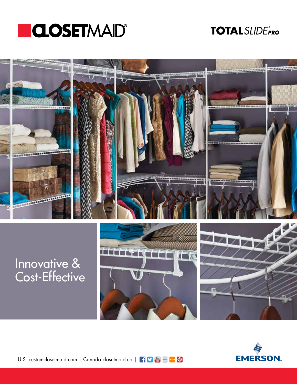

## **TOTALSLIDEPRO**



## Innovative & Cost-Effective